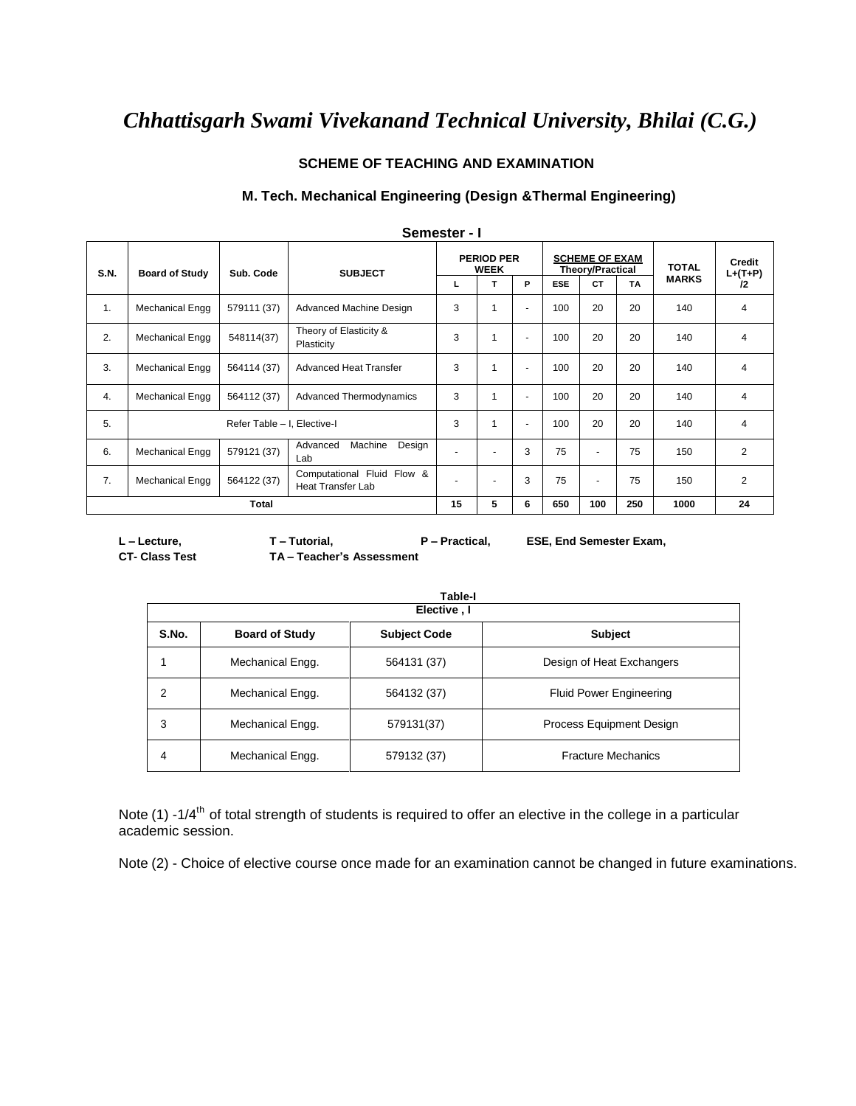# *Chhattisgarh Swami Vivekanand Technical University, Bhilai (C.G.)*

### **SCHEME OF TEACHING AND EXAMINATION**

#### **M. Tech. Mechanical Engineering (Design &Thermal Engineering)**

|             | <b>Semester - I</b>         |             |                                                        |                                  |                |                |            |                                                  |           |              |                     |
|-------------|-----------------------------|-------------|--------------------------------------------------------|----------------------------------|----------------|----------------|------------|--------------------------------------------------|-----------|--------------|---------------------|
| <b>S.N.</b> | <b>Board of Study</b>       | Sub. Code   | <b>SUBJECT</b>                                         | <b>PERIOD PER</b><br><b>WEEK</b> |                |                |            | <b>SCHEME OF EXAM</b><br><b>Theory/Practical</b> |           | <b>TOTAL</b> | Credit<br>$L+(T+P)$ |
|             |                             |             |                                                        | L                                | т              | P              | <b>ESE</b> | <b>CT</b>                                        | <b>TA</b> | <b>MARKS</b> | 12                  |
| 1.          | Mechanical Engg             | 579111 (37) | Advanced Machine Design                                | 3                                | 1              | $\blacksquare$ | 100        | 20                                               | 20        | 140          | 4                   |
| 2.          | Mechanical Engg             | 548114(37)  | Theory of Elasticity &<br>Plasticity                   | 3                                | 1              | $\blacksquare$ | 100        | 20                                               | 20        | 140          | 4                   |
| 3.          | Mechanical Engg             | 564114 (37) | <b>Advanced Heat Transfer</b>                          | 3                                | 1              | $\blacksquare$ | 100        | 20                                               | 20        | 140          | 4                   |
| 4.          | Mechanical Engg             | 564112 (37) | Advanced Thermodynamics                                | 3                                | 1              | $\blacksquare$ | 100        | 20                                               | 20        | 140          | 4                   |
| 5.          | Refer Table - I, Elective-I |             | 3                                                      | 1                                | $\blacksquare$ | 100            | 20         | 20                                               | 140       | 4            |                     |
| 6.          | Mechanical Engg             | 579121 (37) | Machine<br>Advanced<br>Design<br>Lab                   |                                  | ٠              | 3              | 75         | ٠                                                | 75        | 150          | $\overline{2}$      |
| 7.          | Mechanical Engg             | 564122 (37) | Computational Fluid Flow &<br><b>Heat Transfer Lab</b> | $\overline{\phantom{0}}$         | ٠              | 3              | 75         | ٠                                                | 75        | 150          | 2                   |
|             | Total                       |             |                                                        | 15                               | 5              | 6              | 650        | 100                                              | 250       | 1000         | 24                  |

 **Semester - I**

**CT- Class Test TA – Teacher's Assessment**

**L – Lecture, T – Tutorial, P – Practical, ESE, End Semester Exam,** 

|       | Table-I<br>Elective, I |                     |                                |  |  |  |  |
|-------|------------------------|---------------------|--------------------------------|--|--|--|--|
| S.No. | <b>Board of Study</b>  | <b>Subject Code</b> | <b>Subject</b>                 |  |  |  |  |
|       | Mechanical Engg.       | 564131 (37)         | Design of Heat Exchangers      |  |  |  |  |
| 2     | Mechanical Engg.       | 564132 (37)         | <b>Fluid Power Engineering</b> |  |  |  |  |
| 3     | Mechanical Engg.       | 579131(37)          | Process Equipment Design       |  |  |  |  |
| 4     | Mechanical Engg.       | 579132 (37)         | <b>Fracture Mechanics</b>      |  |  |  |  |

Note (1) -1/4<sup>th</sup> of total strength of students is required to offer an elective in the college in a particular academic session.

Note (2) - Choice of elective course once made for an examination cannot be changed in future examinations.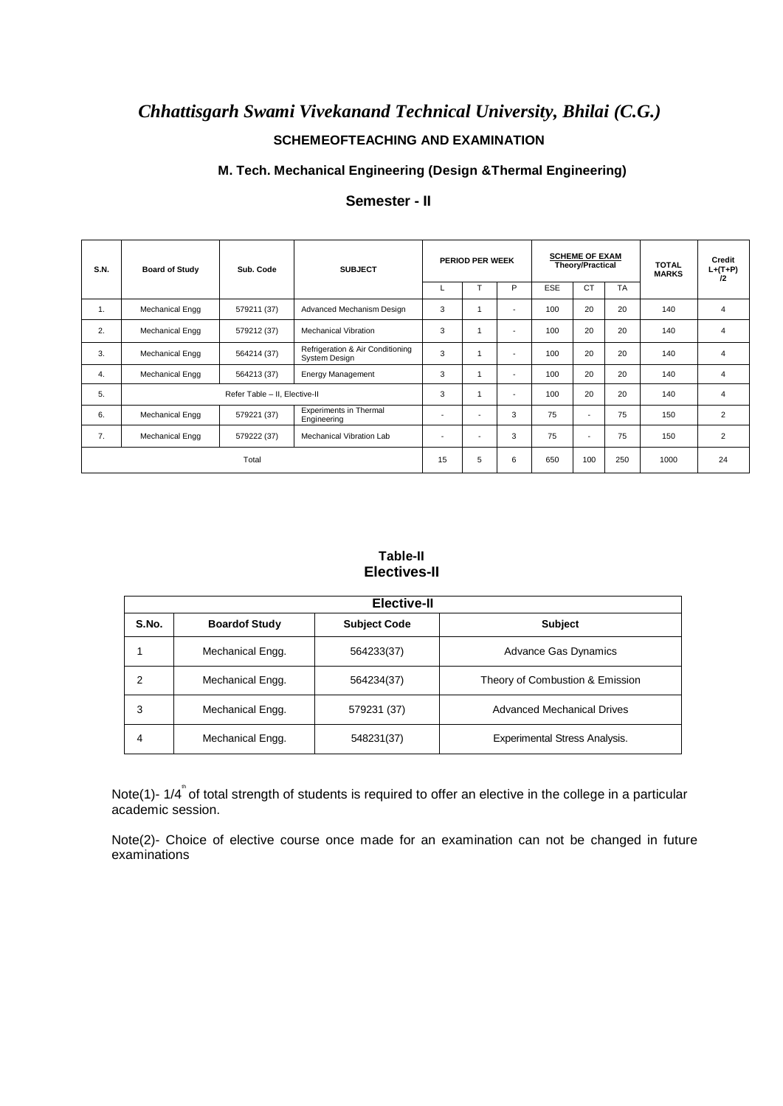# *Chhattisgarh Swami Vivekanand Technical University, Bhilai (C.G.)* **SCHEMEOFTEACHING AND EXAMINATION**

#### **M. Tech. Mechanical Engineering (Design &Thermal Engineering)**

| S.N.  | <b>Board of Study</b> | Sub. Code                     | PERIOD PER WEEK<br><b>SUBJECT</b>                 |                          |                          | <b>SCHEME OF EXAM</b><br><b>Theory/Practical</b> |            | <b>TOTAL</b><br><b>MARKS</b> | Credit<br>$L+(T+P)$<br>12 |     |                |
|-------|-----------------------|-------------------------------|---------------------------------------------------|--------------------------|--------------------------|--------------------------------------------------|------------|------------------------------|---------------------------|-----|----------------|
|       |                       |                               |                                                   | L                        |                          | P                                                | <b>ESE</b> | <b>CT</b>                    | <b>TA</b>                 |     |                |
| 1.    | Mechanical Engg       | 579211 (37)                   | Advanced Mechanism Design                         | 3                        |                          | $\blacksquare$                                   | 100        | 20                           | 20                        | 140 | 4              |
| 2.    | Mechanical Engg       | 579212 (37)                   | <b>Mechanical Vibration</b>                       | 3                        |                          | $\overline{\phantom{a}}$                         | 100        | 20                           | 20                        | 140 | 4              |
| 3.    | Mechanical Engg       | 564214 (37)                   | Refrigeration & Air Conditioning<br>System Design | 3                        |                          | $\overline{\phantom{a}}$                         | 100        | 20                           | 20                        | 140 | 4              |
| 4.    | Mechanical Engg       | 564213 (37)                   | <b>Energy Management</b>                          | 3                        | $\overline{1}$           | $\overline{\phantom{a}}$                         | 100        | 20                           | 20                        | 140 | 4              |
| 5.    |                       | Refer Table - II, Elective-II |                                                   | 3                        | $\overline{1}$           | $\overline{\phantom{a}}$                         | 100        | 20                           | 20                        | 140 | 4              |
| 6.    | Mechanical Engg       | 579221 (37)                   | <b>Experiments in Thermal</b><br>Engineering      | $\overline{\phantom{a}}$ | $\overline{\phantom{a}}$ | 3                                                | 75         | $\overline{a}$               | 75                        | 150 | $\overline{2}$ |
| 7.    | Mechanical Engg       | 579222 (37)                   | Mechanical Vibration Lab                          | $\overline{\phantom{a}}$ | ٠                        | 3                                                | 75         |                              | 75                        | 150 | $\overline{2}$ |
| Total |                       |                               | 15                                                | 5                        | 6                        | 650                                              | 100        | 250                          | 1000                      | 24  |                |

## **Semester - II**

### **Table-II Electives-II**

|       | Elective-II          |                     |                                      |  |  |  |  |
|-------|----------------------|---------------------|--------------------------------------|--|--|--|--|
| S.No. | <b>Boardof Study</b> | <b>Subject Code</b> | <b>Subject</b>                       |  |  |  |  |
|       | Mechanical Engg.     | 564233(37)          | <b>Advance Gas Dynamics</b>          |  |  |  |  |
| 2     | Mechanical Engg.     | 564234(37)          | Theory of Combustion & Emission      |  |  |  |  |
| 3     | Mechanical Engg.     | 579231 (37)         | <b>Advanced Mechanical Drives</b>    |  |  |  |  |
| 4     | Mechanical Engg.     | 548231(37)          | <b>Experimental Stress Analysis.</b> |  |  |  |  |

Note(1)- 1/4<sup>"</sup> of total strength of students is required to offer an elective in the college in a particular academic session.

Note(2)- Choice of elective course once made for an examination can not be changed in future examinations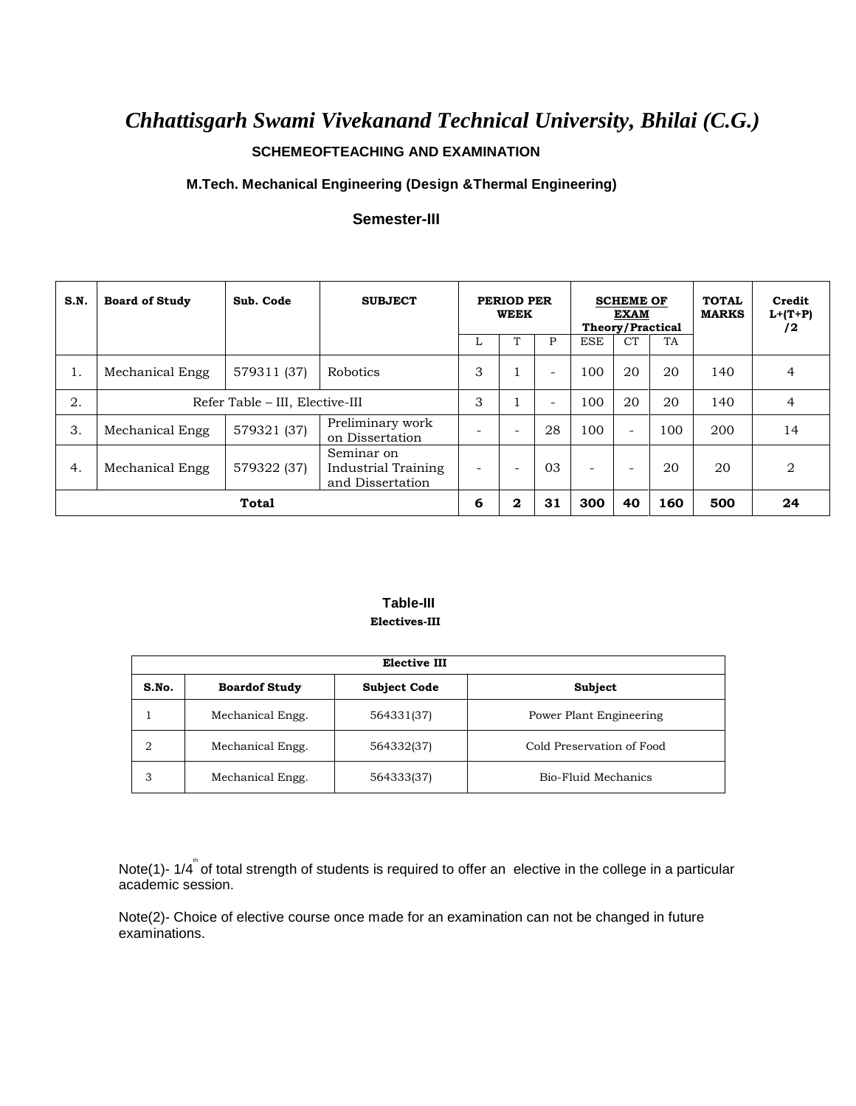# *Chhattisgarh Swami Vivekanand Technical University, Bhilai (C.G.)*

### **SCHEMEOFTEACHING AND EXAMINATION**

### **M.Tech. Mechanical Engineering (Design &Thermal Engineering)**

#### **Semester-III**

| S.N. | <b>Board of Study</b>           | Sub. Code   | <b>SUBJECT</b>                                        | PERIOD PER<br><b>WEEK</b> |                          | <b>SCHEME OF</b><br><b>EXAM</b><br><b>Theory/Practical</b> |                          |                          | <b>TOTAL</b><br><b>MARKS</b> | Credit<br>$L+(T+P)$<br>/2 |                |
|------|---------------------------------|-------------|-------------------------------------------------------|---------------------------|--------------------------|------------------------------------------------------------|--------------------------|--------------------------|------------------------------|---------------------------|----------------|
|      |                                 |             |                                                       |                           | $\mathbf{r}$             | P                                                          | <b>ESE</b>               | <b>CT</b>                | TA                           |                           |                |
| ī.   | Mechanical Engg                 | 579311 (37) | <b>Robotics</b>                                       | 3                         |                          | Ξ.                                                         | 100                      | 20                       | 20                           | 140                       | 4              |
| 2.   | Refer Table - III, Elective-III |             | 3                                                     |                           | -                        | 100                                                        | 20                       | 20                       | 140                          | 4                         |                |
| 3.   | Mechanical Engg                 | 579321 (37) | Preliminary work<br>on Dissertation                   |                           | $\overline{\phantom{a}}$ | 28                                                         | 100                      | $\overline{\phantom{a}}$ | 100                          | 200                       | 14             |
| 4.   | Mechanical Engg                 | 579322 (37) | Seminar on<br>Industrial Training<br>and Dissertation |                           | $\overline{\phantom{a}}$ | 03                                                         | $\overline{\phantom{a}}$ | $\overline{\phantom{a}}$ | 20                           | 20                        | $\overline{2}$ |
|      |                                 | Total       |                                                       | 6                         | $\mathbf{2}$             | 31                                                         | 300                      | 40                       | 160                          | 500                       | 24             |

#### **Table-III Electives-III**

|       | <b>Elective III</b>  |                     |                           |  |  |  |  |  |
|-------|----------------------|---------------------|---------------------------|--|--|--|--|--|
| S.No. | <b>Boardof Study</b> | <b>Subject Code</b> | Subject                   |  |  |  |  |  |
|       | Mechanical Engg.     | 564331(37)          | Power Plant Engineering   |  |  |  |  |  |
| 2     | Mechanical Engg.     | 564332(37)          | Cold Preservation of Food |  |  |  |  |  |
| 3     | Mechanical Engg.     | 564333(37)          | Bio-Fluid Mechanics       |  |  |  |  |  |

Note(1)- 1/4<sup>"</sup> of total strength of students is required to offer an elective in the college in a particular academic session.

Note(2)- Choice of elective course once made for an examination can not be changed in future examinations.